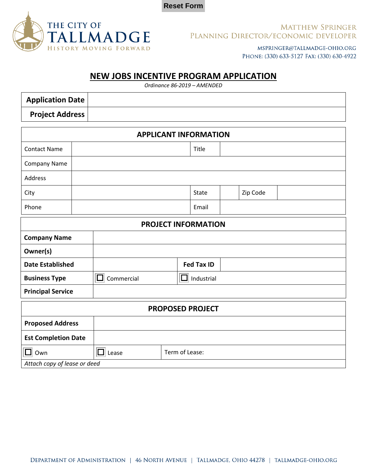



**Principal Service**

#### **MATTHEW SPRINGER** PLANNING DIRECTOR/ECONOMIC DEVELOPER

MSPRINGER@TALLMADGE-OHIO.ORG PHONE: (330) 633-5127 FAX: (330) 630-4922

# **NEW JOBS INCENTIVE PROGRAM APPLICATION**

*Ordinance 86-2019 – AMENDED*

| <b>Application Date</b>      |  |                   |  |                 |  |          |  |  |
|------------------------------|--|-------------------|--|-----------------|--|----------|--|--|
| <b>Project Address</b>       |  |                   |  |                 |  |          |  |  |
| <b>APPLICANT INFORMATION</b> |  |                   |  |                 |  |          |  |  |
| <b>Contact Name</b>          |  |                   |  | Title           |  |          |  |  |
| Company Name                 |  |                   |  |                 |  |          |  |  |
| Address                      |  |                   |  |                 |  |          |  |  |
| City                         |  |                   |  | State           |  | Zip Code |  |  |
| Phone                        |  |                   |  | Email           |  |          |  |  |
| <b>PROJECT INFORMATION</b>   |  |                   |  |                 |  |          |  |  |
| <b>Company Name</b>          |  |                   |  |                 |  |          |  |  |
| Owner(s)                     |  |                   |  |                 |  |          |  |  |
| <b>Date Established</b>      |  |                   |  | Fed Tax ID      |  |          |  |  |
| <b>Business Type</b>         |  | - 1<br>Commercial |  | ⊡<br>Industrial |  |          |  |  |

| . <b>.</b>                   |       |                |  |  |  |
|------------------------------|-------|----------------|--|--|--|
| <b>PROPOSED PROJECT</b>      |       |                |  |  |  |
| <b>Proposed Address</b>      |       |                |  |  |  |
| <b>Est Completion Date</b>   |       |                |  |  |  |
| Own                          | Lease | Term of Lease: |  |  |  |
| Attach copy of lease or deed |       |                |  |  |  |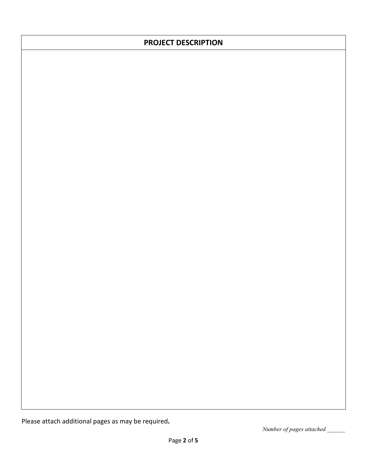# **PROJECT DESCRIPTION**

Please attach additional pages as may be required**.**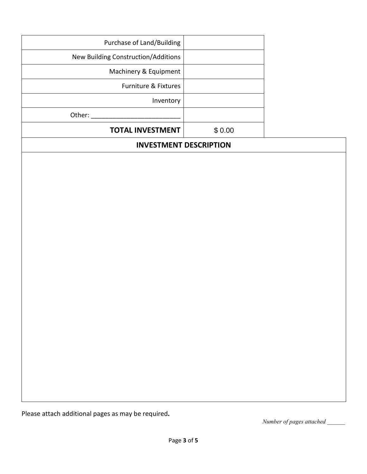| Purchase of Land/Building           |        |
|-------------------------------------|--------|
| New Building Construction/Additions |        |
| Machinery & Equipment               |        |
| <b>Furniture &amp; Fixtures</b>     |        |
| Inventory                           |        |
| Other:                              |        |
| <b>TOTAL INVESTMENT</b>             | \$0.00 |

### **INVESTMENT DESCRIPTION**

Please attach additional pages as may be required**.**

*Number of pages attached \_\_\_\_\_\_*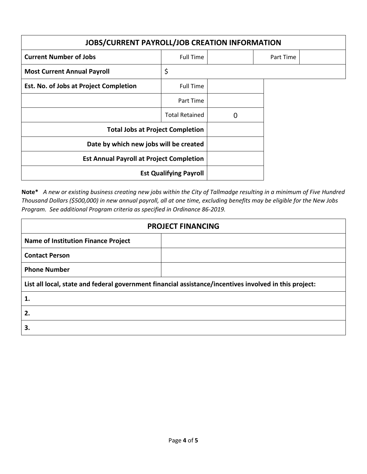| <b>JOBS/CURRENT PAYROLL/JOB CREATION INFORMATION</b> |                       |   |           |  |  |
|------------------------------------------------------|-----------------------|---|-----------|--|--|
| <b>Current Number of Jobs</b>                        | <b>Full Time</b>      |   | Part Time |  |  |
| <b>Most Current Annual Payroll</b>                   | \$                    |   |           |  |  |
| Est. No. of Jobs at Project Completion               | <b>Full Time</b>      |   |           |  |  |
|                                                      | Part Time             |   |           |  |  |
|                                                      | <b>Total Retained</b> | 0 |           |  |  |
| <b>Total Jobs at Project Completion</b>              |                       |   |           |  |  |
| Date by which new jobs will be created               |                       |   |           |  |  |
| <b>Est Annual Payroll at Project Completion</b>      |                       |   |           |  |  |
| <b>Est Qualifying Payroll</b>                        |                       |   |           |  |  |

**Note\*** *A new or existing business creating new jobs within the City of Tallmadge resulting in a minimum of Five Hundred Thousand Dollars (\$500,000) in new annual payroll, all at one time, excluding benefits may be eligible for the New Jobs Program. See additional Program criteria as specified in Ordinance 86-2019.*

| <b>PROJECT FINANCING</b>                   |                                                                                                        |  |  |  |  |
|--------------------------------------------|--------------------------------------------------------------------------------------------------------|--|--|--|--|
| <b>Name of Institution Finance Project</b> |                                                                                                        |  |  |  |  |
| <b>Contact Person</b>                      |                                                                                                        |  |  |  |  |
| <b>Phone Number</b>                        |                                                                                                        |  |  |  |  |
|                                            | List all local, state and federal government financial assistance/incentives involved in this project: |  |  |  |  |
| 1.                                         |                                                                                                        |  |  |  |  |
| 2.                                         |                                                                                                        |  |  |  |  |
| 3.                                         |                                                                                                        |  |  |  |  |